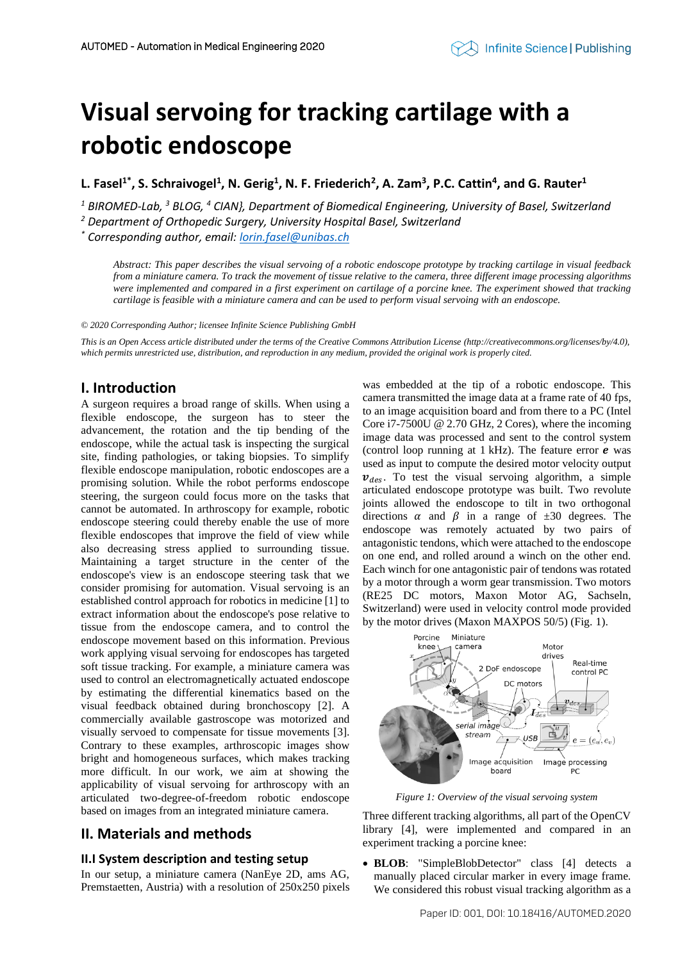# **Visual servoing for tracking cartilage with a robotic endoscope**

**L. Fasel1\* , S. Schraivogel<sup>1</sup> , N. Gerig<sup>1</sup> , N. F. Friederich<sup>2</sup> , A. Zam<sup>3</sup> , P.C. Cattin<sup>4</sup> , and G. Rauter<sup>1</sup>**

*<sup>1</sup> BIROMED-Lab, <sup>3</sup> BLOG, <sup>4</sup> CIAN}, Department of Biomedical Engineering, University of Basel, Switzerland*

*<sup>2</sup> Department of Orthopedic Surgery, University Hospital Basel, Switzerland*

*\* Corresponding author, email[: lorin.fasel@unibas.ch](mailto:lorin.fasel@unibas.ch)*

*Abstract: This paper describes the visual servoing of a robotic endoscope prototype by tracking cartilage in visual feedback from a miniature camera. To track the movement of tissue relative to the camera, three different image processing algorithms were implemented and compared in a first experiment on cartilage of a porcine knee. The experiment showed that tracking cartilage is feasible with a miniature camera and can be used to perform visual servoing with an endoscope.*

*© 2020 Corresponding Author; licensee Infinite Science Publishing GmbH*

*This is an Open Access article distributed under the terms of the Creative Commons Attribution License (http://creativecommons.org/licenses/by/4.0),*  which permits unrestricted use, distribution, and reproduction in any medium, provided the original work is properly cited.

## **I. Introduction**

A surgeon requires a broad range of skills. When using a flexible endoscope, the surgeon has to steer the advancement, the rotation and the tip bending of the endoscope, while the actual task is inspecting the surgical site, finding pathologies, or taking biopsies. To simplify flexible endoscope manipulation, robotic endoscopes are a promising solution. While the robot performs endoscope steering, the surgeon could focus more on the tasks that cannot be automated. In arthroscopy for example, robotic endoscope steering could thereby enable the use of more flexible endoscopes that improve the field of view while also decreasing stress applied to surrounding tissue. Maintaining a target structure in the center of the endoscope's view is an endoscope steering task that we consider promising for automation. Visual servoing is an established control approach for robotics in medicine [1] to extract information about the endoscope's pose relative to tissue from the endoscope camera, and to control the endoscope movement based on this information. Previous work applying visual servoing for endoscopes has targeted soft tissue tracking. For example, a miniature camera was used to control an electromagnetically actuated endoscope by estimating the differential kinematics based on the visual feedback obtained during bronchoscopy [2]. A commercially available gastroscope was motorized and visually servoed to compensate for tissue movements [3]. Contrary to these examples, arthroscopic images show bright and homogeneous surfaces, which makes tracking more difficult. In our work, we aim at showing the applicability of visual servoing for arthroscopy with an articulated two-degree-of-freedom robotic endoscope based on images from an integrated miniature camera.

## **II. Materials and methods**

#### **II.I System description and testing setup**

In our setup, a miniature camera (NanEye 2D, ams AG, Premstaetten, Austria) with a resolution of 250x250 pixels was embedded at the tip of a robotic endoscope. This camera transmitted the image data at a frame rate of 40 fps, to an image acquisition board and from there to a PC (Intel Core i7-7500U @ 2.70 GHz, 2 Cores), where the incoming image data was processed and sent to the control system (control loop running at 1 kHz). The feature error  $e$  was used as input to compute the desired motor velocity output  $v_{des}$ . To test the visual servoing algorithm, a simple articulated endoscope prototype was built. Two revolute joints allowed the endoscope to tilt in two orthogonal directions  $\alpha$  and  $\beta$  in a range of  $\pm 30$  degrees. The endoscope was remotely actuated by two pairs of antagonistic tendons, which were attached to the endoscope on one end, and rolled around a winch on the other end. Each winch for one antagonistic pair of tendons was rotated by a motor through a worm gear transmission. Two motors (RE25 DC motors, Maxon Motor AG, Sachseln, Switzerland) were used in velocity control mode provided by the motor drives (Maxon MAXPOS 50/5) (Fig. 1).



*Figure 1: Overview of the visual servoing system*

Three different tracking algorithms, all part of the OpenCV library [4], were implemented and compared in an experiment tracking a porcine knee:

• **BLOB**: "SimpleBlobDetector" class [4] detects a manually placed circular marker in every image frame. We considered this robust visual tracking algorithm as a